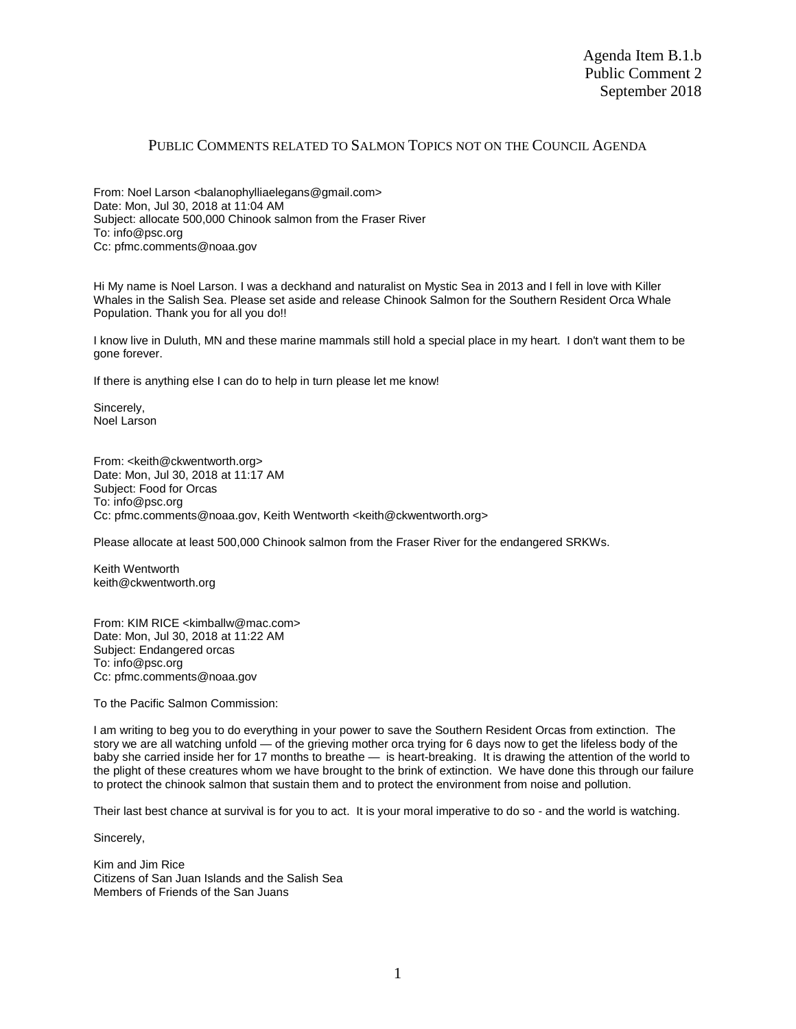## PUBLIC COMMENTS RELATED TO SALMON TOPICS NOT ON THE COUNCIL AGENDA

From: Noel Larson <balanophylliaelegans@gmail.com> Date: Mon, Jul 30, 2018 at 11:04 AM Subject: allocate 500,000 Chinook salmon from the Fraser River To: info@psc.org Cc: pfmc.comments@noaa.gov

Hi My name is Noel Larson. I was a deckhand and naturalist on Mystic Sea in 2013 and I fell in love with Killer Whales in the Salish Sea. Please set aside and release Chinook Salmon for the Southern Resident Orca Whale Population. Thank you for all you do!!

I know live in Duluth, MN and these marine mammals still hold a special place in my heart. I don't want them to be gone forever.

If there is anything else I can do to help in turn please let me know!

Sincerely, Noel Larson

From: < keith@ckwentworth.org> Date: Mon, Jul 30, 2018 at 11:17 AM Subject: Food for Orcas To: info@psc.org Cc: pfmc.comments@noaa.gov, Keith Wentworth <keith@ckwentworth.org>

Please allocate at least 500,000 Chinook salmon from the Fraser River for the endangered SRKWs.

Keith Wentworth keith@ckwentworth.org

From: KIM RICE <kimballw@mac.com> Date: Mon, Jul 30, 2018 at 11:22 AM Subject: Endangered orcas To: info@psc.org Cc: pfmc.comments@noaa.gov

To the Pacific Salmon Commission:

I am writing to beg you to do everything in your power to save the Southern Resident Orcas from extinction. The story we are all watching unfold — of the grieving mother orca trying for 6 days now to get the lifeless body of the baby she carried inside her for 17 months to breathe — is heart-breaking. It is drawing the attention of the world to the plight of these creatures whom we have brought to the brink of extinction. We have done this through our failure to protect the chinook salmon that sustain them and to protect the environment from noise and pollution.

Their last best chance at survival is for you to act. It is your moral imperative to do so - and the world is watching.

Sincerely,

Kim and Jim Rice Citizens of San Juan Islands and the Salish Sea Members of Friends of the San Juans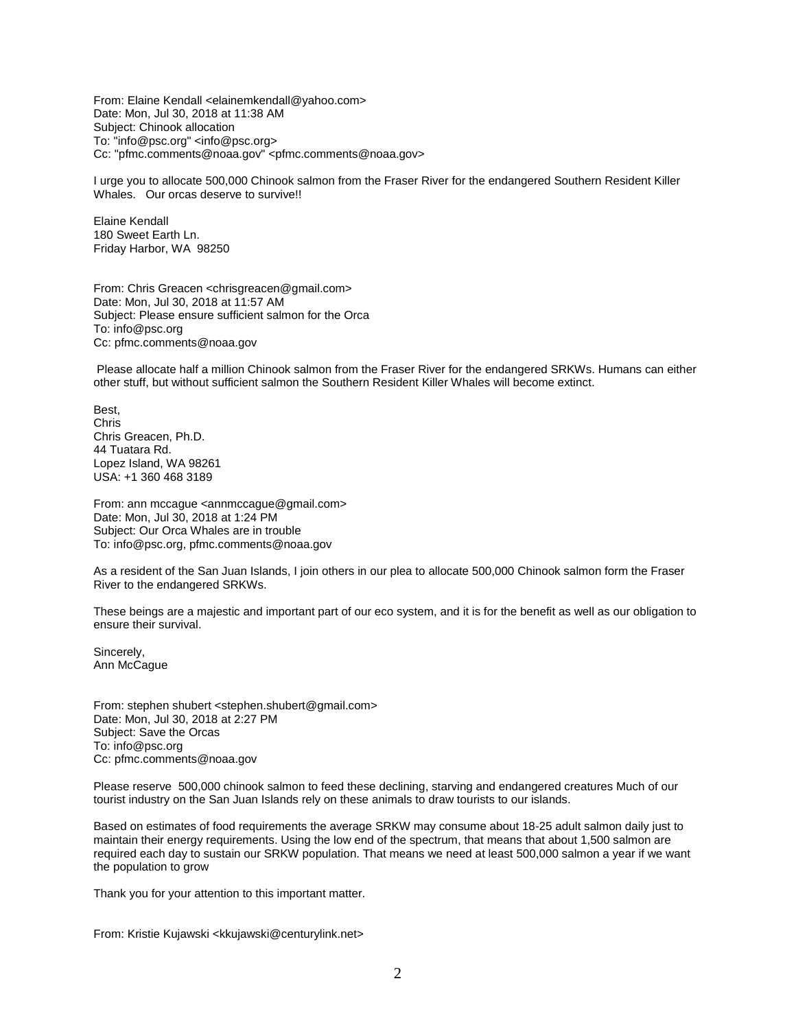From: Elaine Kendall <elainemkendall@yahoo.com> Date: Mon, Jul 30, 2018 at 11:38 AM Subject: Chinook allocation To: "info@psc.org" <info@psc.org> Cc: "pfmc.comments@noaa.gov" <pfmc.comments@noaa.gov>

I urge you to allocate 500,000 Chinook salmon from the Fraser River for the endangered Southern Resident Killer Whales. Our orcas deserve to survive!!

Elaine Kendall 180 Sweet Earth Ln. Friday Harbor, WA 98250

From: Chris Greacen <chrisgreacen@gmail.com> Date: Mon, Jul 30, 2018 at 11:57 AM Subject: Please ensure sufficient salmon for the Orca To: info@psc.org Cc: pfmc.comments@noaa.gov

Please allocate half a million Chinook salmon from the Fraser River for the endangered SRKWs. Humans can either other stuff, but without sufficient salmon the Southern Resident Killer Whales will become extinct.

Best, Chris Chris Greacen, Ph.D. 44 Tuatara Rd. Lopez Island, WA 98261 USA: +1 360 468 3189

From: ann mccague <annmccague@gmail.com> Date: Mon, Jul 30, 2018 at 1:24 PM Subject: Our Orca Whales are in trouble To: info@psc.org, pfmc.comments@noaa.gov

As a resident of the San Juan Islands, I join others in our plea to allocate 500,000 Chinook salmon form the Fraser River to the endangered SRKWs.

These beings are a majestic and important part of our eco system, and it is for the benefit as well as our obligation to ensure their survival.

Sincerely, Ann McCague

From: stephen shubert <stephen.shubert@gmail.com> Date: Mon, Jul 30, 2018 at 2:27 PM Subject: Save the Orcas To: info@psc.org Cc: pfmc.comments@noaa.gov

Please reserve 500,000 chinook salmon to feed these declining, starving and endangered creatures Much of our tourist industry on the San Juan Islands rely on these animals to draw tourists to our islands.

Based on estimates of food requirements the average SRKW may consume about 18-25 adult salmon daily just to maintain their energy requirements. Using the low end of the spectrum, that means that about 1,500 salmon are required each day to sustain our SRKW population. That means we need at least 500,000 salmon a year if we want the population to grow

Thank you for your attention to this important matter.

From: Kristie Kujawski <kkujawski@centurylink.net>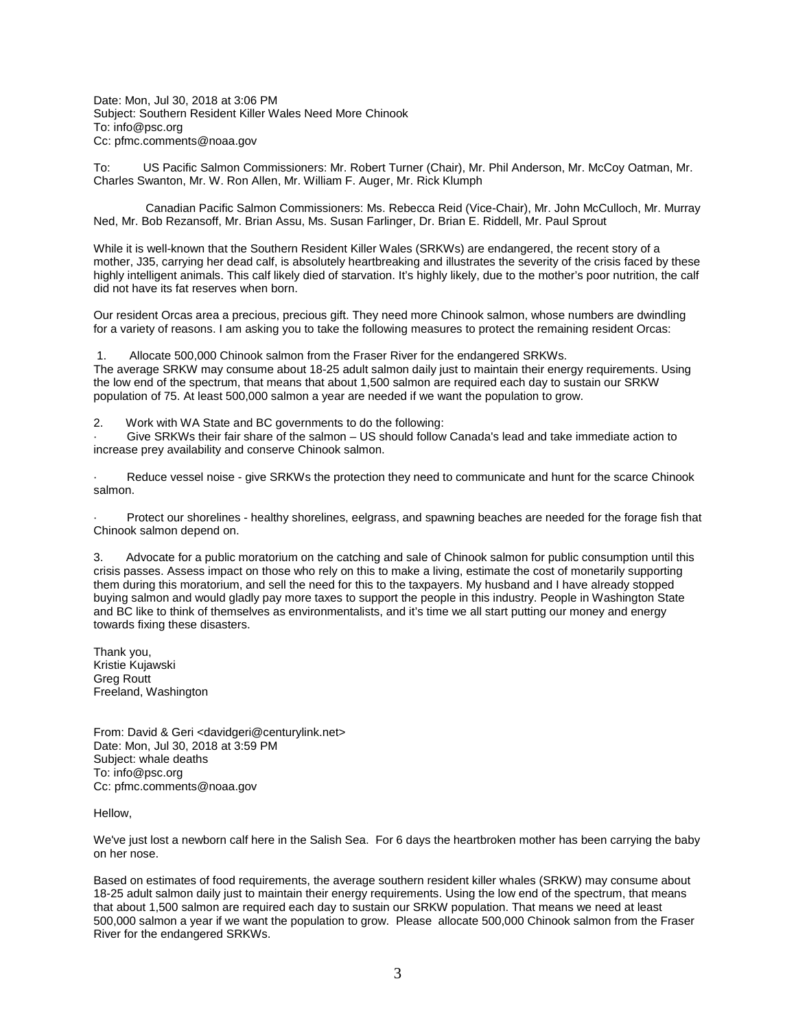Date: Mon, Jul 30, 2018 at 3:06 PM Subject: Southern Resident Killer Wales Need More Chinook To: info@psc.org Cc: pfmc.comments@noaa.gov

To: US Pacific Salmon Commissioners: Mr. Robert Turner (Chair), Mr. Phil Anderson, Mr. McCoy Oatman, Mr. Charles Swanton, Mr. W. Ron Allen, Mr. William F. Auger, Mr. Rick Klumph

 Canadian Pacific Salmon Commissioners: Ms. Rebecca Reid (Vice-Chair), Mr. John McCulloch, Mr. Murray Ned, Mr. Bob Rezansoff, Mr. Brian Assu, Ms. Susan Farlinger, Dr. Brian E. Riddell, Mr. Paul Sprout

While it is well-known that the Southern Resident Killer Wales (SRKWs) are endangered, the recent story of a mother, J35, carrying her dead calf, is absolutely heartbreaking and illustrates the severity of the crisis faced by these highly intelligent animals. This calf likely died of starvation. It's highly likely, due to the mother's poor nutrition, the calf did not have its fat reserves when born.

Our resident Orcas area a precious, precious gift. They need more Chinook salmon, whose numbers are dwindling for a variety of reasons. I am asking you to take the following measures to protect the remaining resident Orcas:

1. Allocate 500,000 Chinook salmon from the Fraser River for the endangered SRKWs.

The average SRKW may consume about 18-25 adult salmon daily just to maintain their energy requirements. Using the low end of the spectrum, that means that about 1,500 salmon are required each day to sustain our SRKW population of 75. At least 500,000 salmon a year are needed if we want the population to grow.

2. Work with WA State and BC governments to do the following:

Give SRKWs their fair share of the salmon - US should follow Canada's lead and take immediate action to increase prey availability and conserve Chinook salmon.

Reduce vessel noise - give SRKWs the protection they need to communicate and hunt for the scarce Chinook salmon.

· Protect our shorelines - healthy shorelines, eelgrass, and spawning beaches are needed for the forage fish that Chinook salmon depend on.

3. Advocate for a public moratorium on the catching and sale of Chinook salmon for public consumption until this crisis passes. Assess impact on those who rely on this to make a living, estimate the cost of monetarily supporting them during this moratorium, and sell the need for this to the taxpayers. My husband and I have already stopped buying salmon and would gladly pay more taxes to support the people in this industry. People in Washington State and BC like to think of themselves as environmentalists, and it's time we all start putting our money and energy towards fixing these disasters.

Thank you, Kristie Kujawski Greg Routt Freeland, Washington

From: David & Geri <davidgeri@centurylink.net> Date: Mon, Jul 30, 2018 at 3:59 PM Subject: whale deaths To: info@psc.org Cc: pfmc.comments@noaa.gov

Hellow,

We've just lost a newborn calf here in the Salish Sea. For 6 days the heartbroken mother has been carrying the baby on her nose.

Based on estimates of food requirements, the average southern resident killer whales (SRKW) may consume about 18-25 adult salmon daily just to maintain their energy requirements. Using the low end of the spectrum, that means that about 1,500 salmon are required each day to sustain our SRKW population. That means we need at least 500,000 salmon a year if we want the population to grow. Please allocate 500,000 Chinook salmon from the Fraser River for the endangered SRKWs.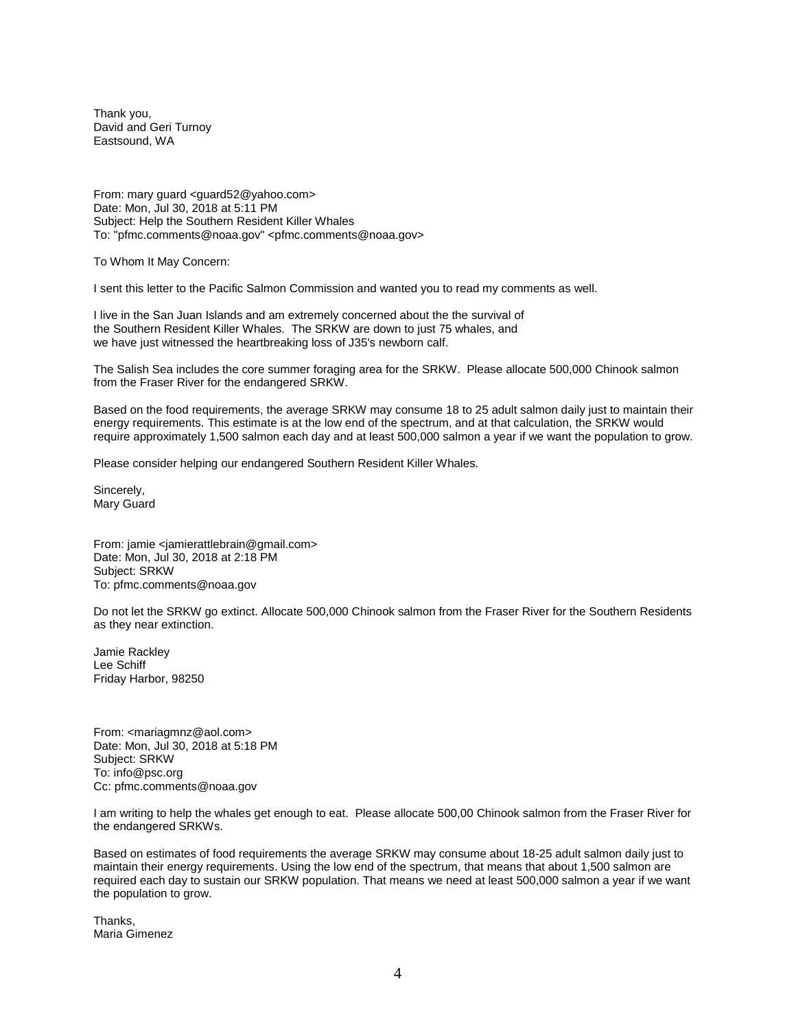Thank you, David and Geri Turnoy Eastsound, WA

From: mary guard <guard52@yahoo.com> Date: Mon, Jul 30, 2018 at 5:11 PM Subject: Help the Southern Resident Killer Whales To: "pfmc.comments@noaa.gov" <pfmc.comments@noaa.gov>

To Whom It May Concern:

I sent this letter to the Pacific Salmon Commission and wanted you to read my comments as well.

I live in the San Juan Islands and am extremely concerned about the the survival of the Southern Resident Killer Whales. The SRKW are down to just 75 whales, and we have just witnessed the heartbreaking loss of J35's newborn calf.

The Salish Sea includes the core summer foraging area for the SRKW. Please allocate 500,000 Chinook salmon from the Fraser River for the endangered SRKW.

Based on the food requirements, the average SRKW may consume 18 to 25 adult salmon daily just to maintain their energy requirements. This estimate is at the low end of the spectrum, and at that calculation, the SRKW would require approximately 1,500 salmon each day and at least 500,000 salmon a year if we want the population to grow.

Please consider helping our endangered Southern Resident Killer Whales.

Sincerely, Mary Guard

From: jamie <jamierattlebrain@gmail.com> Date: Mon, Jul 30, 2018 at 2:18 PM Subject: SRKW To: pfmc.comments@noaa.gov

Do not let the SRKW go extinct. Allocate 500,000 Chinook salmon from the Fraser River for the Southern Residents as they near extinction.

Jamie Rackley Lee Schiff Friday Harbor, 98250

From: <mariagmnz@aol.com> Date: Mon, Jul 30, 2018 at 5:18 PM Subject: SRKW To: info@psc.org Cc: pfmc.comments@noaa.gov

I am writing to help the whales get enough to eat. Please allocate 500,00 Chinook salmon from the Fraser River for the endangered SRKWs.

Based on estimates of food requirements the average SRKW may consume about 18-25 adult salmon daily just to maintain their energy requirements. Using the low end of the spectrum, that means that about 1,500 salmon are required each day to sustain our SRKW population. That means we need at least 500,000 salmon a year if we want the population to grow.

Thanks, Maria Gimenez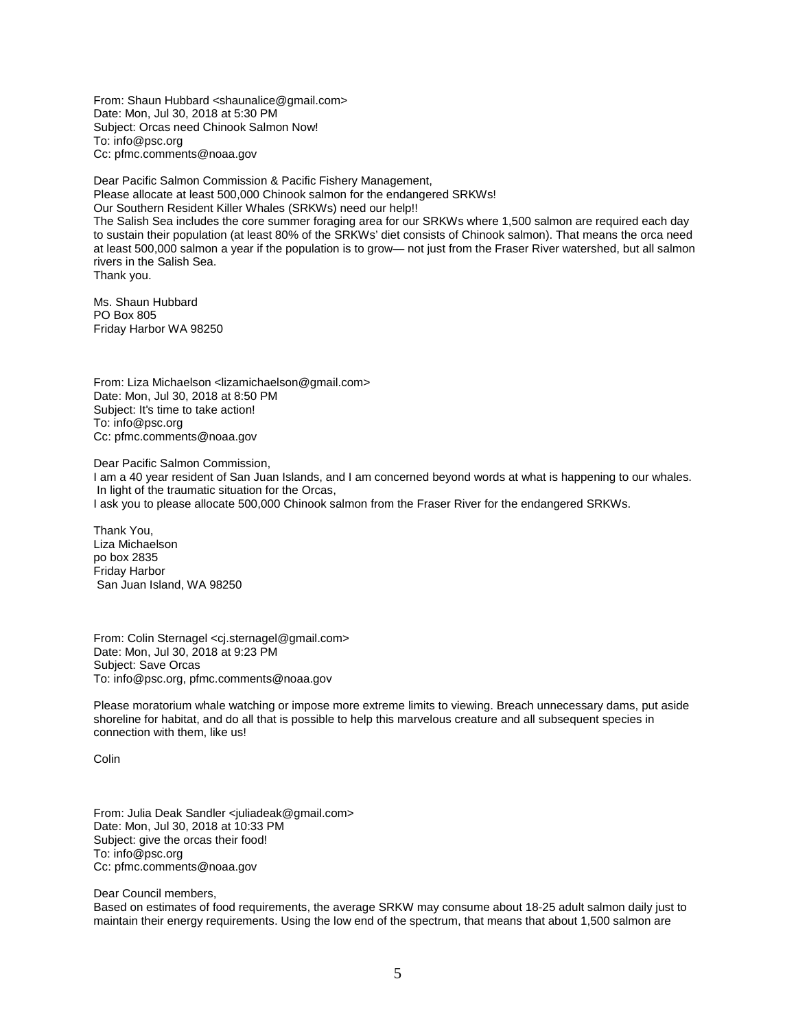From: Shaun Hubbard <shaunalice@gmail.com> Date: Mon, Jul 30, 2018 at 5:30 PM Subject: Orcas need Chinook Salmon Now! To: info@psc.org Cc: pfmc.comments@noaa.gov

Dear Pacific Salmon Commission & Pacific Fishery Management, Please allocate at least 500,000 Chinook salmon for the endangered SRKWs! Our Southern Resident Killer Whales (SRKWs) need our help!! The Salish Sea includes the core summer foraging area for our SRKWs where 1,500 salmon are required each day to sustain their population (at least 80% of the SRKWs' diet consists of Chinook salmon). That means the orca need at least 500,000 salmon a year if the population is to grow— not just from the Fraser River watershed, but all salmon rivers in the Salish Sea. Thank you.

Ms. Shaun Hubbard PO Box 805 Friday Harbor WA 98250

From: Liza Michaelson <lizamichaelson@gmail.com> Date: Mon, Jul 30, 2018 at 8:50 PM Subject: It's time to take action! To: info@psc.org Cc: pfmc.comments@noaa.gov

Dear Pacific Salmon Commission,

I am a 40 year resident of San Juan Islands, and I am concerned beyond words at what is happening to our whales. In light of the traumatic situation for the Orcas, I ask you to please allocate 500,000 Chinook salmon from the Fraser River for the endangered SRKWs.

Thank You, Liza Michaelson po box 2835 Friday Harbor San Juan Island, WA 98250

From: Colin Sternagel <ci.sternagel@gmail.com> Date: Mon, Jul 30, 2018 at 9:23 PM Subject: Save Orcas To: info@psc.org, pfmc.comments@noaa.gov

Please moratorium whale watching or impose more extreme limits to viewing. Breach unnecessary dams, put aside shoreline for habitat, and do all that is possible to help this marvelous creature and all subsequent species in connection with them, like us!

Colin

From: Julia Deak Sandler <juliadeak@gmail.com> Date: Mon, Jul 30, 2018 at 10:33 PM Subject: give the orcas their food! To: info@psc.org Cc: pfmc.comments@noaa.gov

Dear Council members,

Based on estimates of food requirements, the average SRKW may consume about 18-25 adult salmon daily just to maintain their energy requirements. Using the low end of the spectrum, that means that about 1,500 salmon are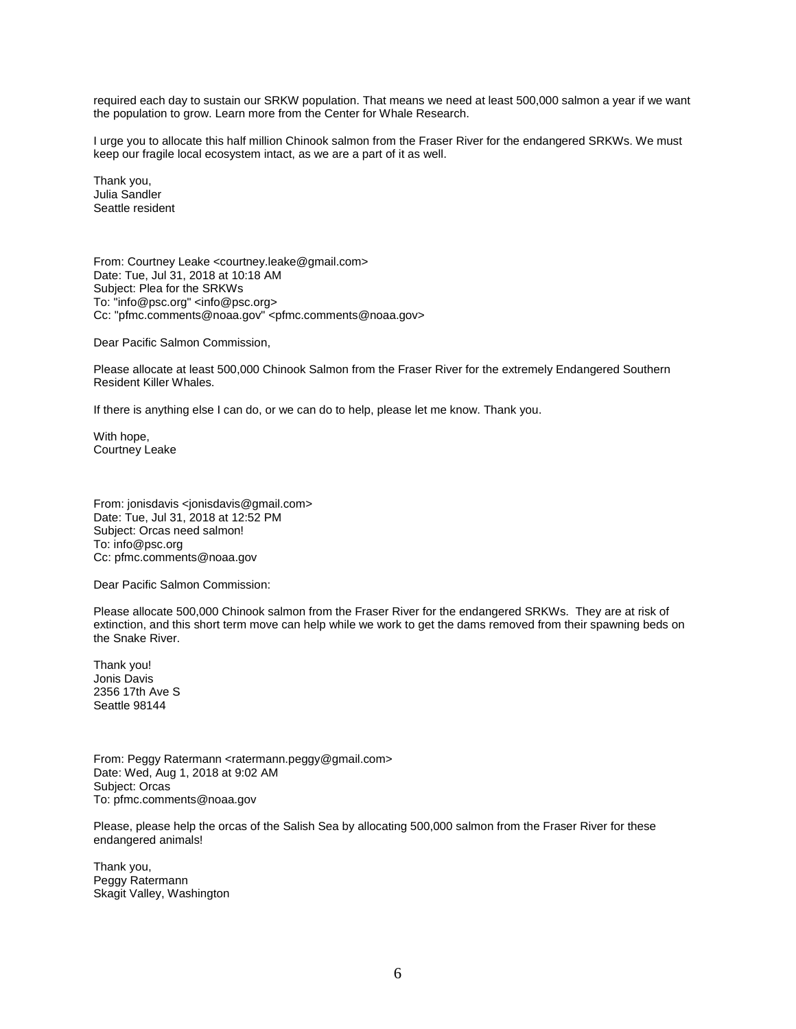required each day to sustain our SRKW population. That means we need at least 500,000 salmon a year if we want the population to grow. Learn more from the Center for Whale Research.

I urge you to allocate this half million Chinook salmon from the Fraser River for the endangered SRKWs. We must keep our fragile local ecosystem intact, as we are a part of it as well.

Thank you, Julia Sandler Seattle resident

From: Courtney Leake <courtney.leake@gmail.com> Date: Tue, Jul 31, 2018 at 10:18 AM Subject: Plea for the SRKWs To: "info@psc.org" <info@psc.org> Cc: "pfmc.comments@noaa.gov" <pfmc.comments@noaa.gov>

Dear Pacific Salmon Commission,

Please allocate at least 500,000 Chinook Salmon from the Fraser River for the extremely Endangered Southern Resident Killer Whales.

If there is anything else I can do, or we can do to help, please let me know. Thank you.

With hope, Courtney Leake

From: jonisdavis <jonisdavis@gmail.com> Date: Tue, Jul 31, 2018 at 12:52 PM Subject: Orcas need salmon! To: info@psc.org Cc: pfmc.comments@noaa.gov

Dear Pacific Salmon Commission:

Please allocate 500,000 Chinook salmon from the Fraser River for the endangered SRKWs. They are at risk of extinction, and this short term move can help while we work to get the dams removed from their spawning beds on the Snake River.

Thank you! Jonis Davis 2356 17th Ave S Seattle 98144

From: Peggy Ratermann <ratermann.peggy@gmail.com> Date: Wed, Aug 1, 2018 at 9:02 AM Subject: Orcas To: pfmc.comments@noaa.gov

Please, please help the orcas of the Salish Sea by allocating 500,000 salmon from the Fraser River for these endangered animals!

Thank you, Peggy Ratermann Skagit Valley, Washington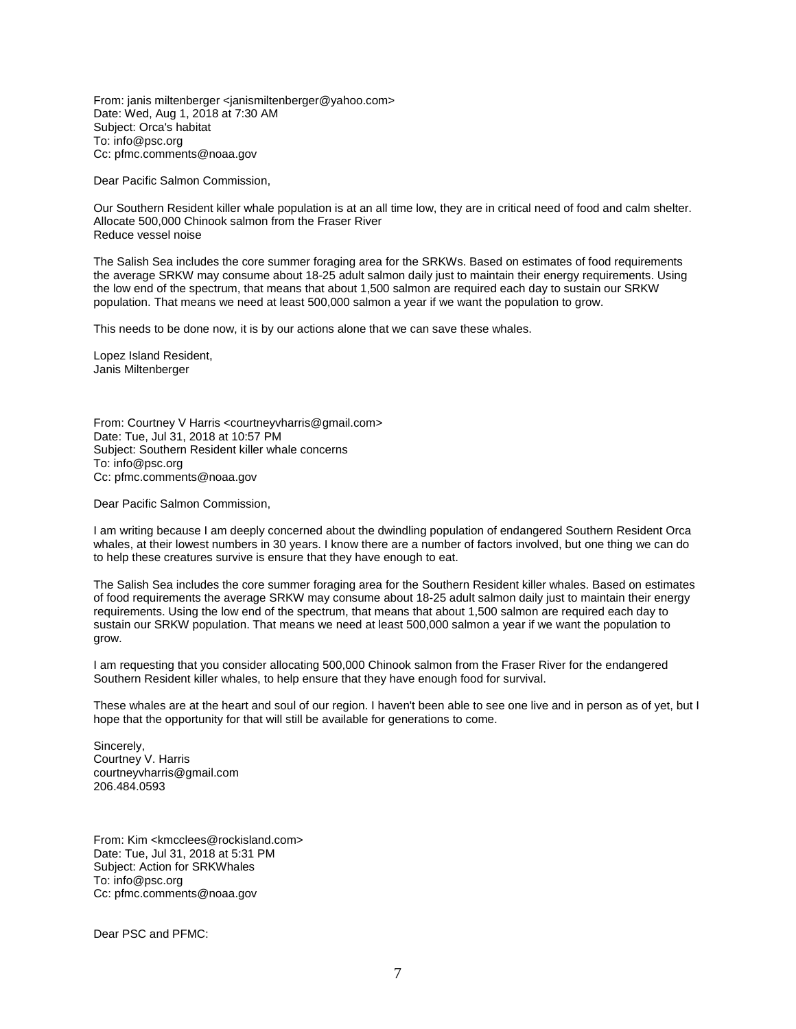From: janis miltenberger <janismiltenberger@yahoo.com> Date: Wed, Aug 1, 2018 at 7:30 AM Subject: Orca's habitat To: info@psc.org Cc: pfmc.comments@noaa.gov

Dear Pacific Salmon Commission,

Our Southern Resident killer whale population is at an all time low, they are in critical need of food and calm shelter. Allocate 500,000 Chinook salmon from the Fraser River Reduce vessel noise

The Salish Sea includes the core summer foraging area for the SRKWs. Based on estimates of food requirements the average SRKW may consume about 18-25 adult salmon daily just to maintain their energy requirements. Using the low end of the spectrum, that means that about 1,500 salmon are required each day to sustain our SRKW population. That means we need at least 500,000 salmon a year if we want the population to grow.

This needs to be done now, it is by our actions alone that we can save these whales.

Lopez Island Resident, Janis Miltenberger

From: Courtney V Harris <courtneyvharris@gmail.com> Date: Tue, Jul 31, 2018 at 10:57 PM Subject: Southern Resident killer whale concerns To: info@psc.org Cc: pfmc.comments@noaa.gov

Dear Pacific Salmon Commission,

I am writing because I am deeply concerned about the dwindling population of endangered Southern Resident Orca whales, at their lowest numbers in 30 years. I know there are a number of factors involved, but one thing we can do to help these creatures survive is ensure that they have enough to eat.

The Salish Sea includes the core summer foraging area for the Southern Resident killer whales. Based on estimates of food requirements the average SRKW may consume about 18-25 adult salmon daily just to maintain their energy requirements. Using the low end of the spectrum, that means that about 1,500 salmon are required each day to sustain our SRKW population. That means we need at least 500,000 salmon a year if we want the population to grow.

I am requesting that you consider allocating 500,000 Chinook salmon from the Fraser River for the endangered Southern Resident killer whales, to help ensure that they have enough food for survival.

These whales are at the heart and soul of our region. I haven't been able to see one live and in person as of yet, but I hope that the opportunity for that will still be available for generations to come.

Sincerely, Courtney V. Harris courtneyvharris@gmail.com 206.484.0593

From: Kim <kmcclees@rockisland.com> Date: Tue, Jul 31, 2018 at 5:31 PM Subject: Action for SRKWhales To: info@psc.org Cc: pfmc.comments@noaa.gov

Dear PSC and PFMC: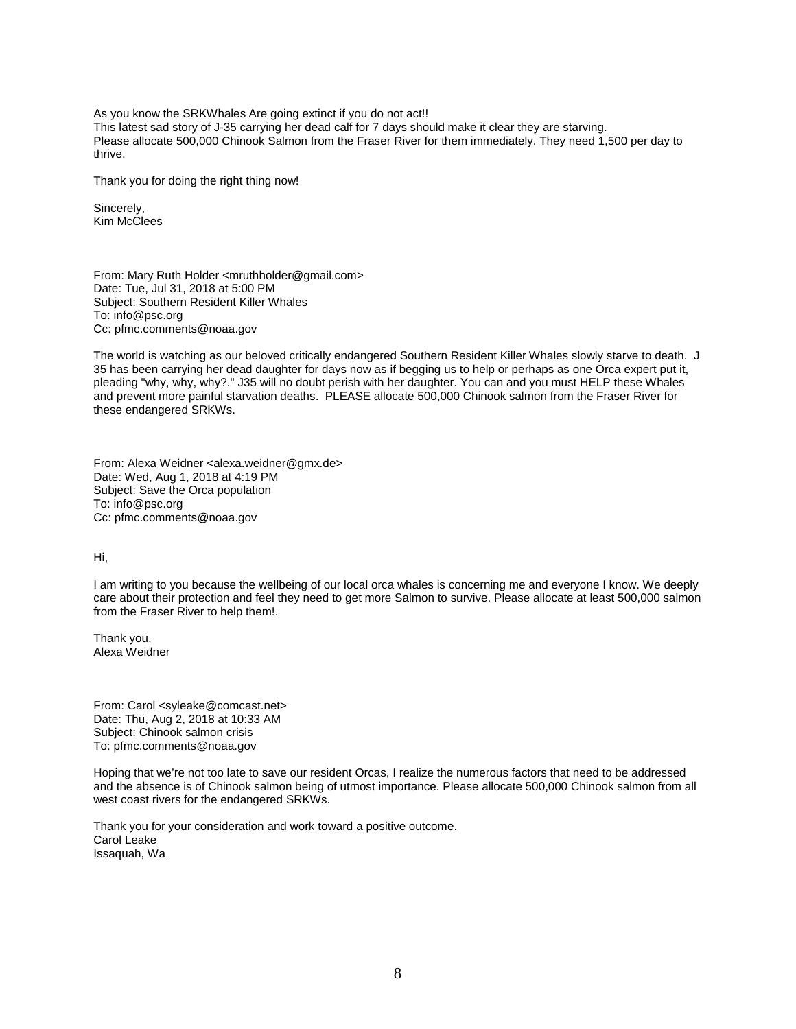As you know the SRKWhales Are going extinct if you do not act!! This latest sad story of J-35 carrying her dead calf for 7 days should make it clear they are starving. Please allocate 500,000 Chinook Salmon from the Fraser River for them immediately. They need 1,500 per day to thrive.

Thank you for doing the right thing now!

Sincerely, Kim McClees

From: Mary Ruth Holder <mruthholder@gmail.com> Date: Tue, Jul 31, 2018 at 5:00 PM Subject: Southern Resident Killer Whales To: info@psc.org Cc: pfmc.comments@noaa.gov

The world is watching as our beloved critically endangered Southern Resident Killer Whales slowly starve to death. J 35 has been carrying her dead daughter for days now as if begging us to help or perhaps as one Orca expert put it, pleading "why, why, why?." J35 will no doubt perish with her daughter. You can and you must HELP these Whales and prevent more painful starvation deaths. PLEASE allocate 500,000 Chinook salmon from the Fraser River for these endangered SRKWs.

From: Alexa Weidner <alexa.weidner@gmx.de> Date: Wed, Aug 1, 2018 at 4:19 PM Subject: Save the Orca population To: info@psc.org Cc: pfmc.comments@noaa.gov

Hi,

I am writing to you because the wellbeing of our local orca whales is concerning me and everyone I know. We deeply care about their protection and feel they need to get more Salmon to survive. Please allocate at least 500,000 salmon from the Fraser River to help them!.

Thank you, Alexa Weidner

From: Carol <syleake@comcast.net> Date: Thu, Aug 2, 2018 at 10:33 AM Subject: Chinook salmon crisis To: pfmc.comments@noaa.gov

Hoping that we're not too late to save our resident Orcas, I realize the numerous factors that need to be addressed and the absence is of Chinook salmon being of utmost importance. Please allocate 500,000 Chinook salmon from all west coast rivers for the endangered SRKWs.

Thank you for your consideration and work toward a positive outcome. Carol Leake Issaquah, Wa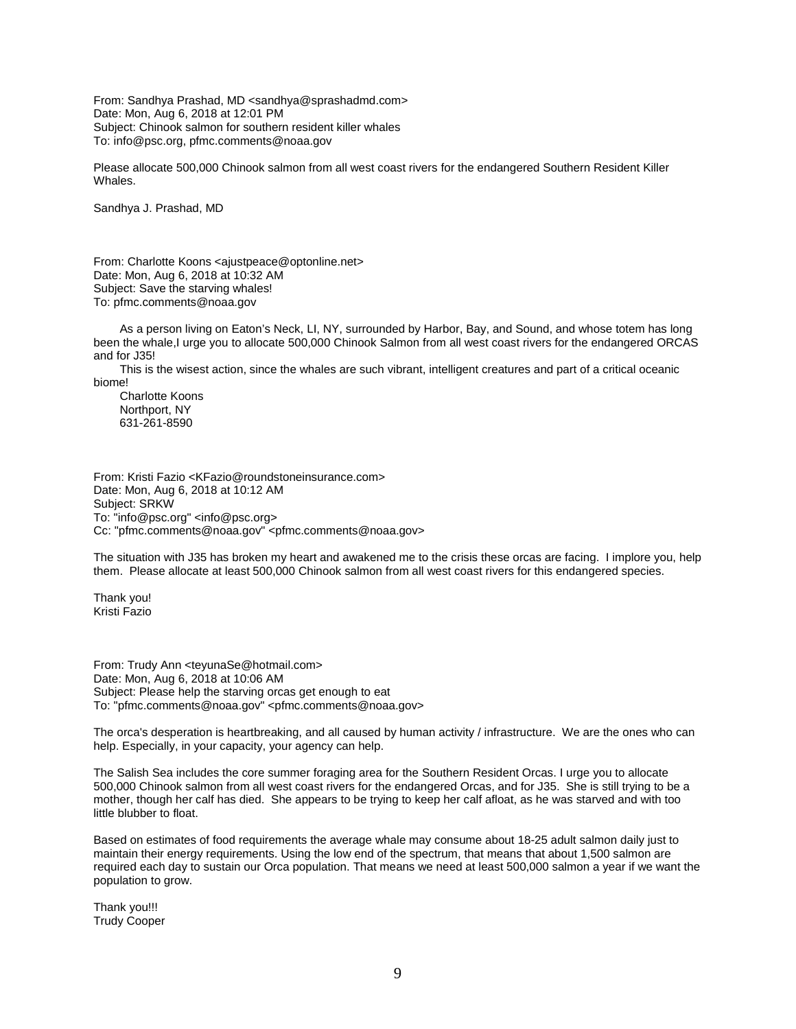From: Sandhya Prashad, MD <sandhya@sprashadmd.com> Date: Mon, Aug 6, 2018 at 12:01 PM Subject: Chinook salmon for southern resident killer whales To: info@psc.org, pfmc.comments@noaa.gov

Please allocate 500,000 Chinook salmon from all west coast rivers for the endangered Southern Resident Killer Whales.

Sandhya J. Prashad, MD

From: Charlotte Koons <ajustpeace@optonline.net> Date: Mon, Aug 6, 2018 at 10:32 AM Subject: Save the starving whales! To: pfmc.comments@noaa.gov

 As a person living on Eaton's Neck, LI, NY, surrounded by Harbor, Bay, and Sound, and whose totem has long been the whale,I urge you to allocate 500,000 Chinook Salmon from all west coast rivers for the endangered ORCAS and for J35!

 This is the wisest action, since the whales are such vibrant, intelligent creatures and part of a critical oceanic biome!

 Charlotte Koons Northport, NY 631-261-8590

From: Kristi Fazio <KFazio@roundstoneinsurance.com> Date: Mon, Aug 6, 2018 at 10:12 AM Subject: SRKW To: "info@psc.org" <info@psc.org> Cc: "pfmc.comments@noaa.gov" <pfmc.comments@noaa.gov>

The situation with J35 has broken my heart and awakened me to the crisis these orcas are facing. I implore you, help them. Please allocate at least 500,000 Chinook salmon from all west coast rivers for this endangered species.

Thank you! Kristi Fazio

From: Trudy Ann <teyunaSe@hotmail.com> Date: Mon, Aug 6, 2018 at 10:06 AM Subject: Please help the starving orcas get enough to eat To: "pfmc.comments@noaa.gov" <pfmc.comments@noaa.gov>

The orca's desperation is heartbreaking, and all caused by human activity / infrastructure. We are the ones who can help. Especially, in your capacity, your agency can help.

The Salish Sea includes the core summer foraging area for the Southern Resident Orcas. I urge you to allocate 500,000 Chinook salmon from all west coast rivers for the endangered Orcas, and for J35. She is still trying to be a mother, though her calf has died. She appears to be trying to keep her calf afloat, as he was starved and with too little blubber to float.

Based on estimates of food requirements the average whale may consume about 18-25 adult salmon daily just to maintain their energy requirements. Using the low end of the spectrum, that means that about 1,500 salmon are required each day to sustain our Orca population. That means we need at least 500,000 salmon a year if we want the population to grow.

Thank you!!! Trudy Cooper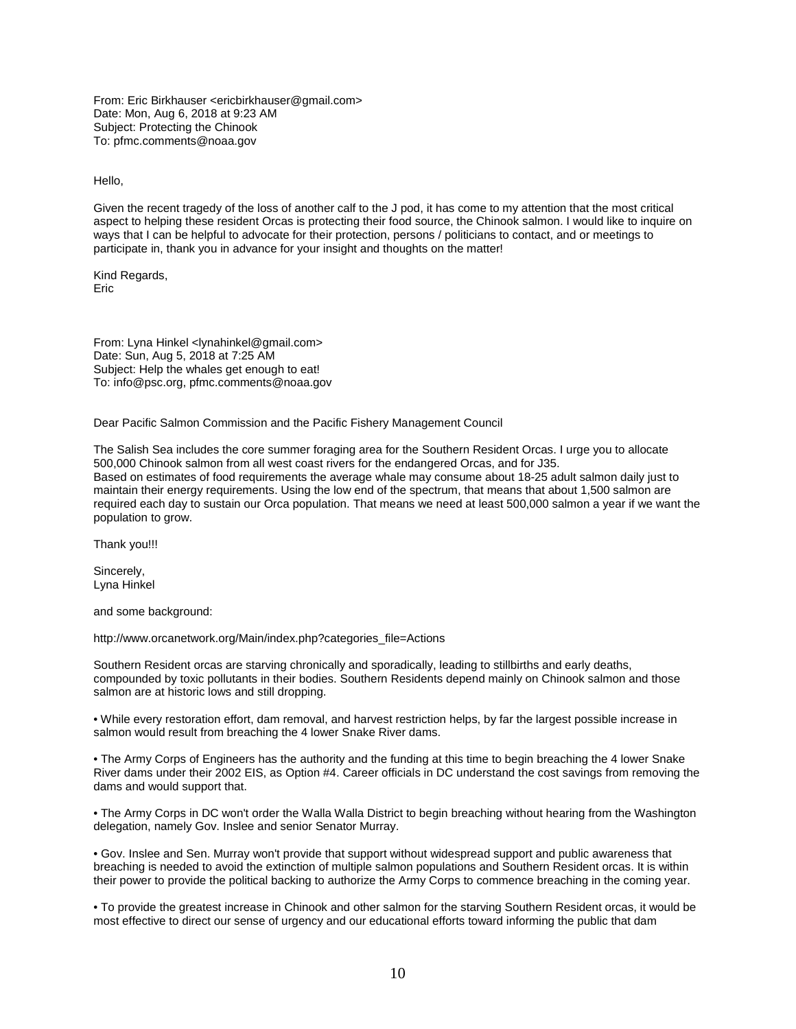From: Eric Birkhauser <ericbirkhauser@gmail.com> Date: Mon, Aug 6, 2018 at 9:23 AM Subject: Protecting the Chinook To: pfmc.comments@noaa.gov

Hello,

Given the recent tragedy of the loss of another calf to the J pod, it has come to my attention that the most critical aspect to helping these resident Orcas is protecting their food source, the Chinook salmon. I would like to inquire on ways that I can be helpful to advocate for their protection, persons / politicians to contact, and or meetings to participate in, thank you in advance for your insight and thoughts on the matter!

Kind Regards, Eric

From: Lyna Hinkel <lynahinkel@gmail.com> Date: Sun, Aug 5, 2018 at 7:25 AM Subject: Help the whales get enough to eat! To: info@psc.org, pfmc.comments@noaa.gov

Dear Pacific Salmon Commission and the Pacific Fishery Management Council

The Salish Sea includes the core summer foraging area for the Southern Resident Orcas. I urge you to allocate 500,000 Chinook salmon from all west coast rivers for the endangered Orcas, and for J35. Based on estimates of food requirements the average whale may consume about 18-25 adult salmon daily just to maintain their energy requirements. Using the low end of the spectrum, that means that about 1,500 salmon are required each day to sustain our Orca population. That means we need at least 500,000 salmon a year if we want the population to grow.

Thank you!!!

Sincerely, Lyna Hinkel

and some background:

http://www.orcanetwork.org/Main/index.php?categories\_file=Actions

Southern Resident orcas are starving chronically and sporadically, leading to stillbirths and early deaths, compounded by toxic pollutants in their bodies. Southern Residents depend mainly on Chinook salmon and those salmon are at historic lows and still dropping.

• While every restoration effort, dam removal, and harvest restriction helps, by far the largest possible increase in salmon would result from breaching the 4 lower Snake River dams.

• The Army Corps of Engineers has the authority and the funding at this time to begin breaching the 4 lower Snake River dams under their 2002 EIS, as Option #4. Career officials in DC understand the cost savings from removing the dams and would support that.

• The Army Corps in DC won't order the Walla Walla District to begin breaching without hearing from the Washington delegation, namely Gov. Inslee and senior Senator Murray.

• Gov. Inslee and Sen. Murray won't provide that support without widespread support and public awareness that breaching is needed to avoid the extinction of multiple salmon populations and Southern Resident orcas. It is within their power to provide the political backing to authorize the Army Corps to commence breaching in the coming year.

• To provide the greatest increase in Chinook and other salmon for the starving Southern Resident orcas, it would be most effective to direct our sense of urgency and our educational efforts toward informing the public that dam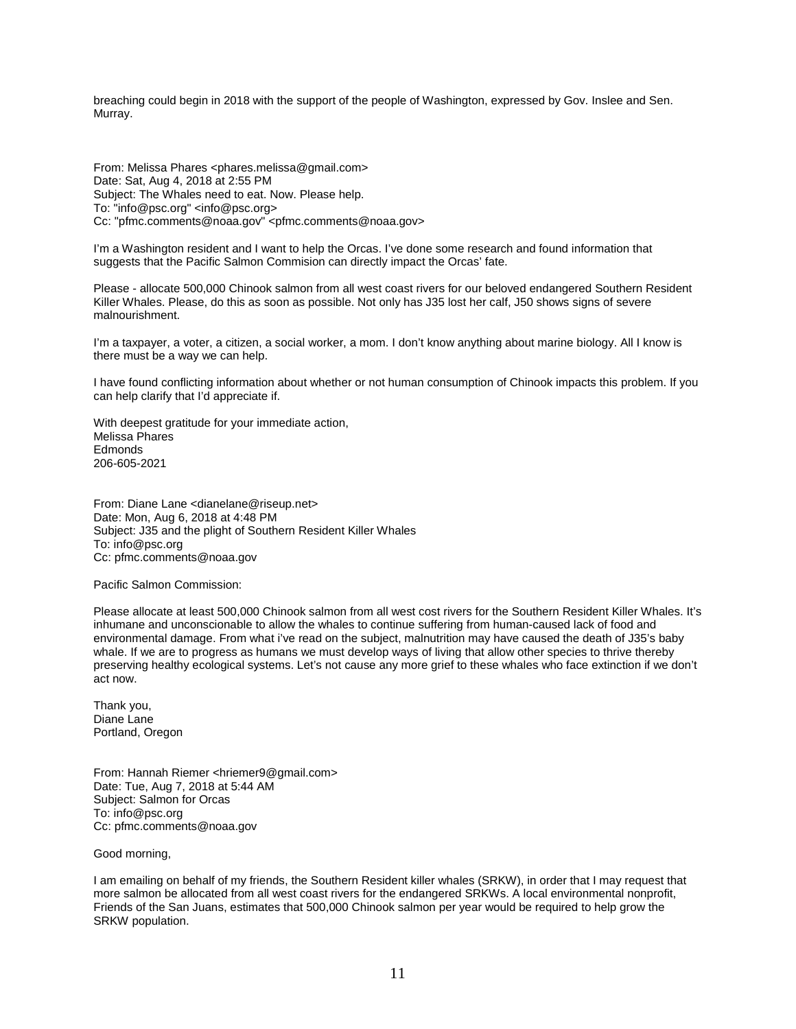breaching could begin in 2018 with the support of the people of Washington, expressed by Gov. Inslee and Sen. Murray.

From: Melissa Phares <phares.melissa@gmail.com> Date: Sat, Aug 4, 2018 at 2:55 PM Subject: The Whales need to eat. Now. Please help. To: "info@psc.org" <info@psc.org> Cc: "pfmc.comments@noaa.gov" <pfmc.comments@noaa.gov>

I'm a Washington resident and I want to help the Orcas. I've done some research and found information that suggests that the Pacific Salmon Commision can directly impact the Orcas' fate.

Please - allocate 500,000 Chinook salmon from all west coast rivers for our beloved endangered Southern Resident Killer Whales. Please, do this as soon as possible. Not only has J35 lost her calf, J50 shows signs of severe malnourishment.

I'm a taxpayer, a voter, a citizen, a social worker, a mom. I don't know anything about marine biology. All I know is there must be a way we can help.

I have found conflicting information about whether or not human consumption of Chinook impacts this problem. If you can help clarify that I'd appreciate if.

With deepest gratitude for your immediate action, Melissa Phares **Edmonds** 206-605-2021

From: Diane Lane <dianelane@riseup.net> Date: Mon, Aug 6, 2018 at 4:48 PM Subject: J35 and the plight of Southern Resident Killer Whales To: info@psc.org Cc: pfmc.comments@noaa.gov

Pacific Salmon Commission:

Please allocate at least 500,000 Chinook salmon from all west cost rivers for the Southern Resident Killer Whales. It's inhumane and unconscionable to allow the whales to continue suffering from human-caused lack of food and environmental damage. From what i've read on the subject, malnutrition may have caused the death of J35's baby whale. If we are to progress as humans we must develop ways of living that allow other species to thrive thereby preserving healthy ecological systems. Let's not cause any more grief to these whales who face extinction if we don't act now.

Thank you, Diane Lane Portland, Oregon

From: Hannah Riemer <hriemer9@gmail.com> Date: Tue, Aug 7, 2018 at 5:44 AM Subject: Salmon for Orcas To: info@psc.org Cc: pfmc.comments@noaa.gov

Good morning,

I am emailing on behalf of my friends, the Southern Resident killer whales (SRKW), in order that I may request that more salmon be allocated from all west coast rivers for the endangered SRKWs. A local environmental nonprofit, Friends of the San Juans, estimates that 500,000 Chinook salmon per year would be required to help grow the SRKW population.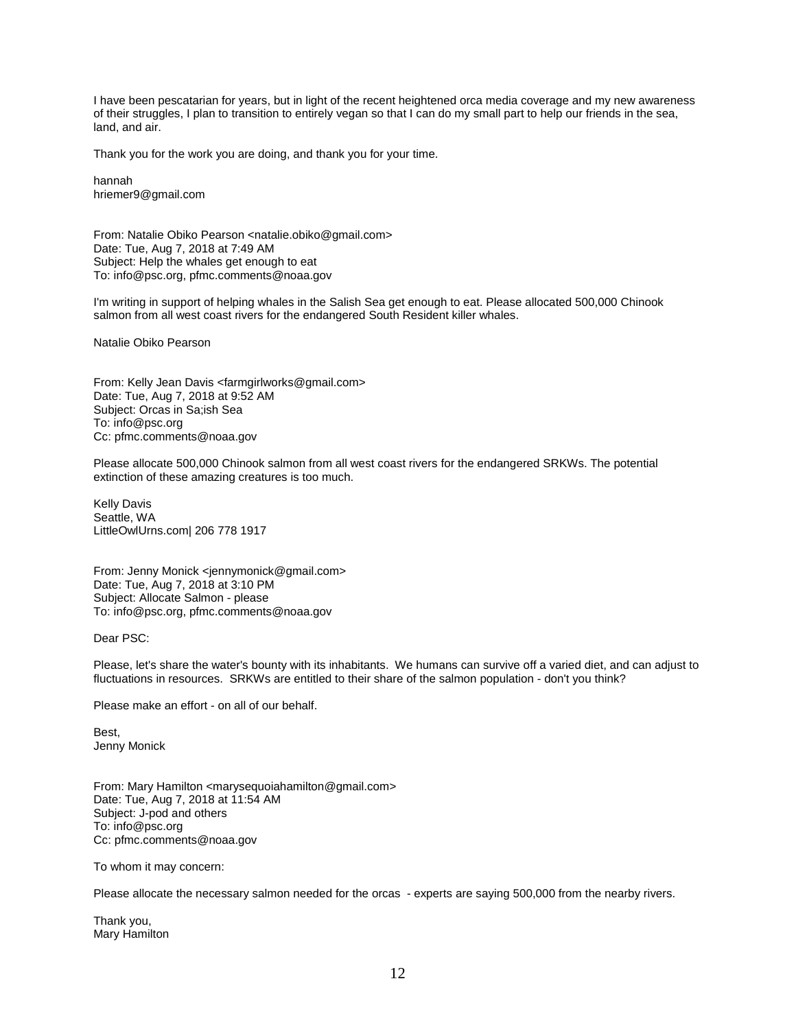I have been pescatarian for years, but in light of the recent heightened orca media coverage and my new awareness of their struggles, I plan to transition to entirely vegan so that I can do my small part to help our friends in the sea, land, and air.

Thank you for the work you are doing, and thank you for your time.

hannah hriemer9@gmail.com

From: Natalie Obiko Pearson <natalie.obiko@gmail.com> Date: Tue, Aug 7, 2018 at 7:49 AM Subject: Help the whales get enough to eat To: info@psc.org, pfmc.comments@noaa.gov

I'm writing in support of helping whales in the Salish Sea get enough to eat. Please allocated 500,000 Chinook salmon from all west coast rivers for the endangered South Resident killer whales.

Natalie Obiko Pearson

From: Kelly Jean Davis <farmgirlworks@gmail.com> Date: Tue, Aug 7, 2018 at 9:52 AM Subject: Orcas in Sa;ish Sea To: info@psc.org Cc: pfmc.comments@noaa.gov

Please allocate 500,000 Chinook salmon from all west coast rivers for the endangered SRKWs. The potential extinction of these amazing creatures is too much.

Kelly Davis Seattle, WA LittleOwlUrns.com| 206 778 1917

From: Jenny Monick <jennymonick@gmail.com> Date: Tue, Aug 7, 2018 at 3:10 PM Subject: Allocate Salmon - please To: info@psc.org, pfmc.comments@noaa.gov

Dear PSC:

Please, let's share the water's bounty with its inhabitants. We humans can survive off a varied diet, and can adjust to fluctuations in resources. SRKWs are entitled to their share of the salmon population - don't you think?

Please make an effort - on all of our behalf.

Best, Jenny Monick

From: Mary Hamilton <marysequoiahamilton@gmail.com> Date: Tue, Aug 7, 2018 at 11:54 AM Subject: J-pod and others To: info@psc.org Cc: pfmc.comments@noaa.gov

To whom it may concern:

Please allocate the necessary salmon needed for the orcas - experts are saying 500,000 from the nearby rivers.

Thank you, Mary Hamilton